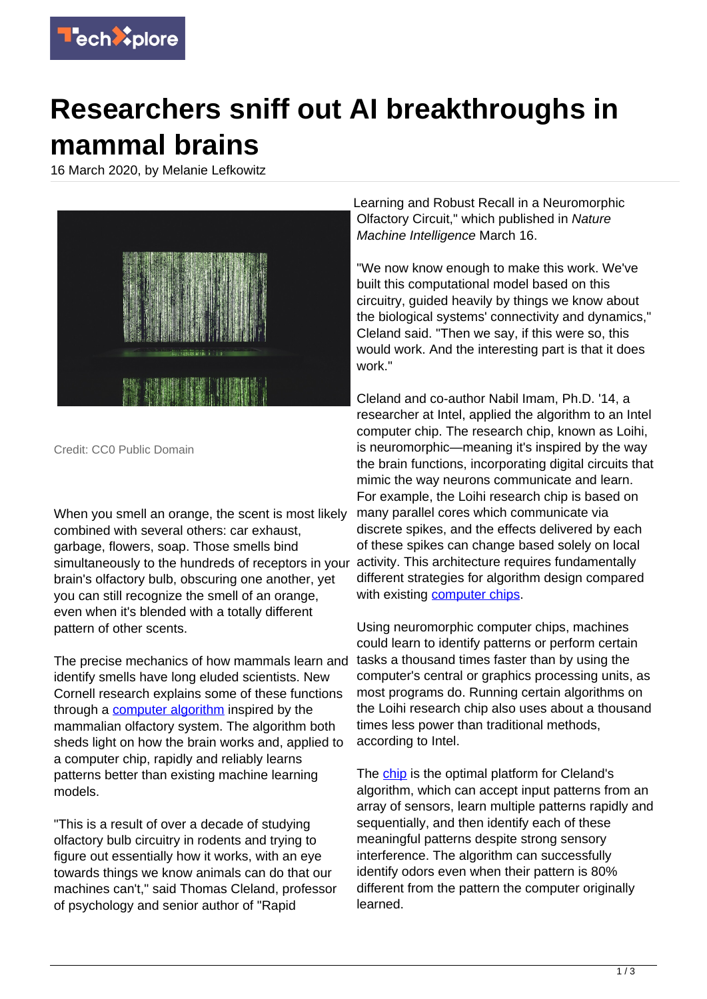

## **Researchers sniff out AI breakthroughs in mammal brains**

16 March 2020, by Melanie Lefkowitz



Credit: CC0 Public Domain

When you smell an orange, the scent is most likely combined with several others: car exhaust, garbage, flowers, soap. Those smells bind simultaneously to the hundreds of receptors in your brain's olfactory bulb, obscuring one another, yet you can still recognize the smell of an orange, even when it's blended with a totally different pattern of other scents.

The precise mechanics of how mammals learn and identify smells have long eluded scientists. New Cornell research explains some of these functions through a [computer algorithm](https://techxplore.com/tags/computer+algorithm/) inspired by the mammalian olfactory system. The algorithm both sheds light on how the brain works and, applied to a computer chip, rapidly and reliably learns patterns better than existing machine learning models.

"This is a result of over a decade of studying olfactory bulb circuitry in rodents and trying to figure out essentially how it works, with an eye towards things we know animals can do that our machines can't," said Thomas Cleland, professor of psychology and senior author of "Rapid

Learning and Robust Recall in a Neuromorphic Olfactory Circuit," which published in Nature Machine Intelligence March 16.

"We now know enough to make this work. We've built this computational model based on this circuitry, guided heavily by things we know about the biological systems' connectivity and dynamics," Cleland said. "Then we say, if this were so, this would work. And the interesting part is that it does work."

Cleland and co-author Nabil Imam, Ph.D. '14, a researcher at Intel, applied the algorithm to an Intel computer chip. The research chip, known as Loihi, is neuromorphic—meaning it's inspired by the way the brain functions, incorporating digital circuits that mimic the way neurons communicate and learn. For example, the Loihi research chip is based on many parallel cores which communicate via discrete spikes, and the effects delivered by each of these spikes can change based solely on local activity. This architecture requires fundamentally different strategies for algorithm design compared with existing **computer chips**.

Using neuromorphic computer chips, machines could learn to identify patterns or perform certain tasks a thousand times faster than by using the computer's central or graphics processing units, as most programs do. Running certain algorithms on the Loihi research chip also uses about a thousand times less power than traditional methods, according to Intel.

The [chip](https://techxplore.com/tags/chip/) is the optimal platform for Cleland's algorithm, which can accept input patterns from an array of sensors, learn multiple patterns rapidly and sequentially, and then identify each of these meaningful patterns despite strong sensory interference. The algorithm can successfully identify odors even when their pattern is 80% different from the pattern the computer originally learned.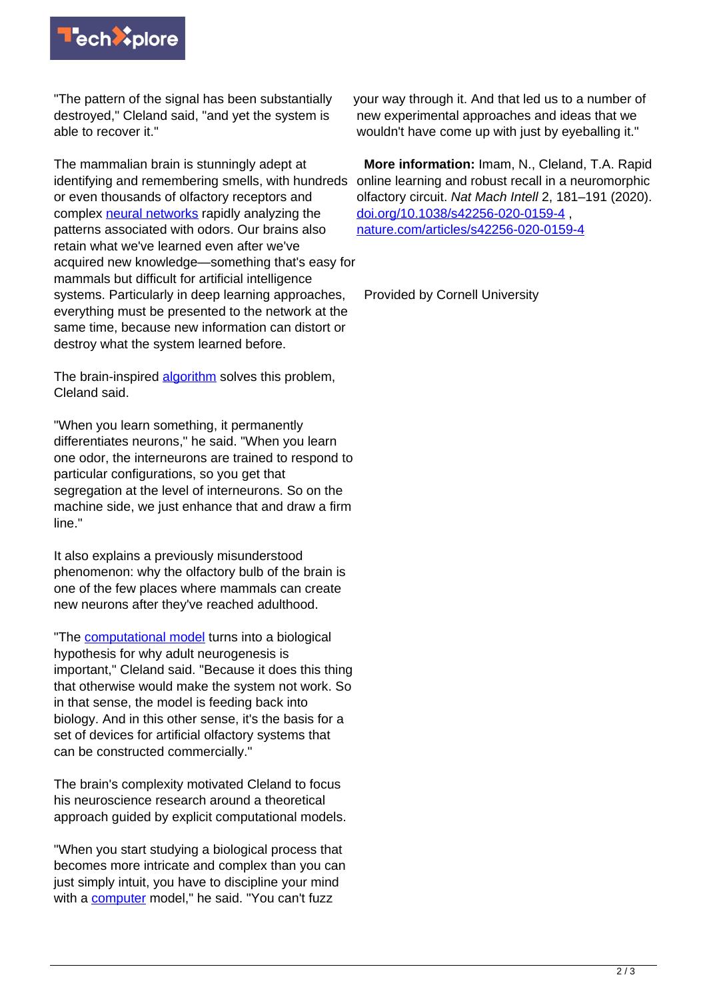

"The pattern of the signal has been substantially destroyed," Cleland said, "and yet the system is able to recover it."

The mammalian brain is stunningly adept at identifying and remembering smells, with hundreds or even thousands of olfactory receptors and complex [neural networks](https://techxplore.com/tags/neural+networks/) rapidly analyzing the patterns associated with odors. Our brains also retain what we've learned even after we've acquired new knowledge—something that's easy for mammals but difficult for artificial intelligence systems. Particularly in deep learning approaches, everything must be presented to the network at the same time, because new information can distort or destroy what the system learned before.

The brain-inspired [algorithm](https://techxplore.com/tags/algorithm/) solves this problem, Cleland said.

"When you learn something, it permanently differentiates neurons," he said. "When you learn one odor, the interneurons are trained to respond to particular configurations, so you get that segregation at the level of interneurons. So on the machine side, we just enhance that and draw a firm line."

It also explains a previously misunderstood phenomenon: why the olfactory bulb of the brain is one of the few places where mammals can create new neurons after they've reached adulthood.

"The [computational model](https://techxplore.com/tags/computational+model/) turns into a biological hypothesis for why adult neurogenesis is important," Cleland said. "Because it does this thing that otherwise would make the system not work. So in that sense, the model is feeding back into biology. And in this other sense, it's the basis for a set of devices for artificial olfactory systems that can be constructed commercially."

The brain's complexity motivated Cleland to focus his neuroscience research around a theoretical approach guided by explicit computational models.

"When you start studying a biological process that becomes more intricate and complex than you can just simply intuit, you have to discipline your mind with a [computer](https://techxplore.com/tags/computer/) model," he said. "You can't fuzz

your way through it. And that led us to a number of new experimental approaches and ideas that we wouldn't have come up with just by eyeballing it."

 **More information:** Imam, N., Cleland, T.A. Rapid online learning and robust recall in a neuromorphic olfactory circuit. Nat Mach Intell 2, 181–191 (2020). [doi.org/10.1038/s42256-020-0159-4](https://doi.org/10.1038/s42256-020-0159-4) , [nature.com/articles/s42256-020-0159-4](https://nature.com/articles/s42256-020-0159-4)

Provided by Cornell University